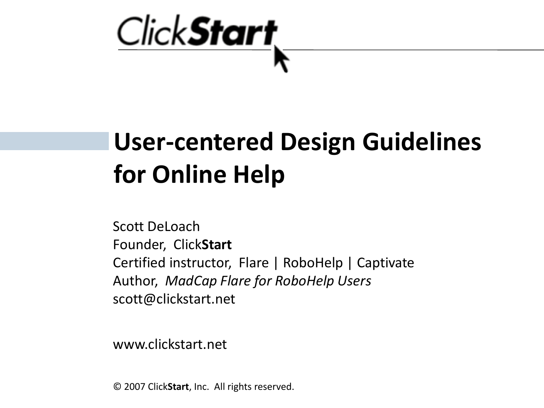

# **User-centered Design Guidelines for Online Help**

Scott DeLoach Founder, Click**Start** Certified instructor, Flare | RoboHelp | Captivate Author, *MadCap Flare for RoboHelp Users* scott@clickstart.net

www.clickstart.net

© 2007 Click**Start**, Inc. All rights reserved.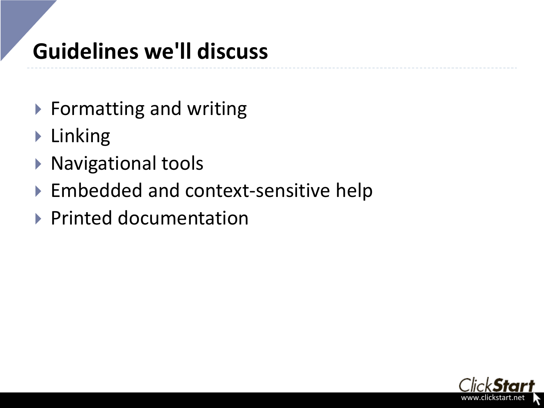# **Guidelines we'll discuss**

- ▶ Formatting and writing
- **Linking**
- ▶ Navigational tools
- ▶ Embedded and context-sensitive help
- ▶ Printed documentation

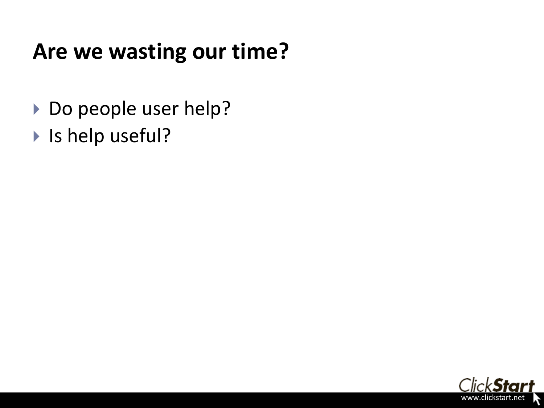### **Are we wasting our time?**

- ▶ Do people user help?
- ▶ Is help useful?

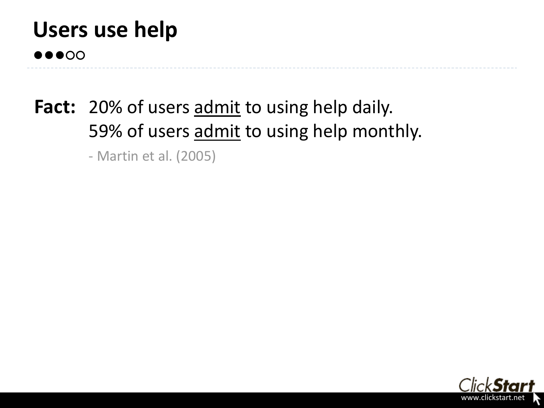## **Users use help**

**●●●○○**

### Fact: 20% of users admit to using help daily. 59% of users admit to using help monthly.

- Martin et al. (2005)

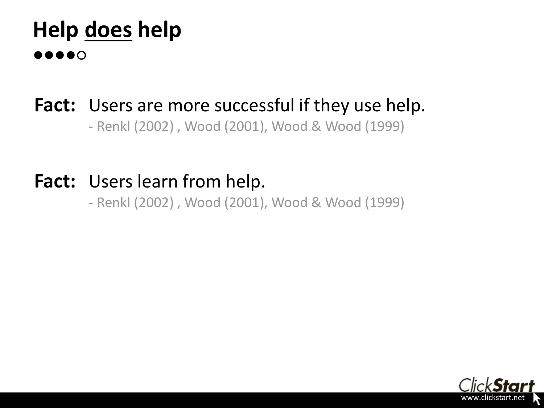### **Help does help ●●●●○**

### Fact: Users are more successful if they use help.

- Renkl (2002) , Wood (2001), Wood & Wood (1999)

### **Fact:** Users learn from help.

- Renkl (2002) , Wood (2001), Wood & Wood (1999)

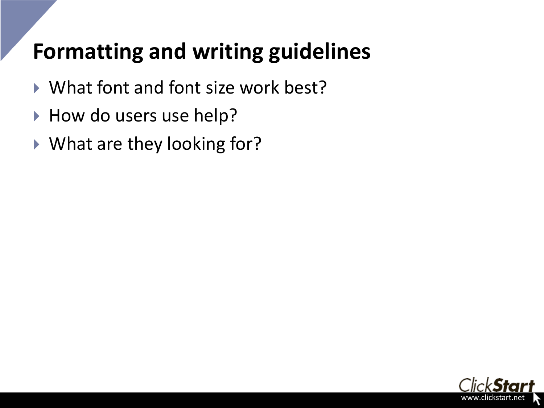## **Formatting and writing guidelines**

- ▶ What font and font size work best?
- How do users use help?
- ▶ What are they looking for?

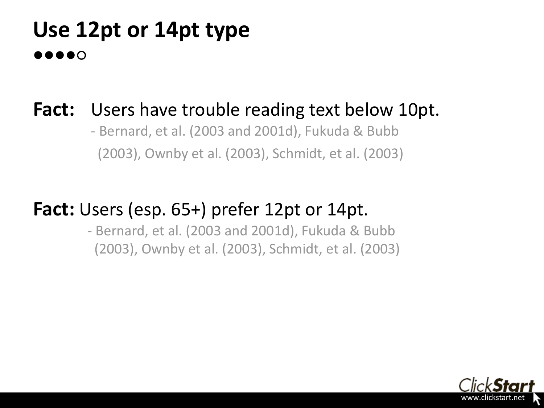### **Use 12pt or 14pt type ●●●●○**

### **Fact:** Users have trouble reading text below 10pt.

- Bernard, et al. (2003 and 2001d), Fukuda & Bubb (2003), Ownby et al. (2003), Schmidt, et al. (2003)

#### **Fact:** Users (esp. 65+) prefer 12pt or 14pt.

- Bernard, et al. (2003 and 2001d), Fukuda & Bubb (2003), Ownby et al. (2003), Schmidt, et al. (2003)

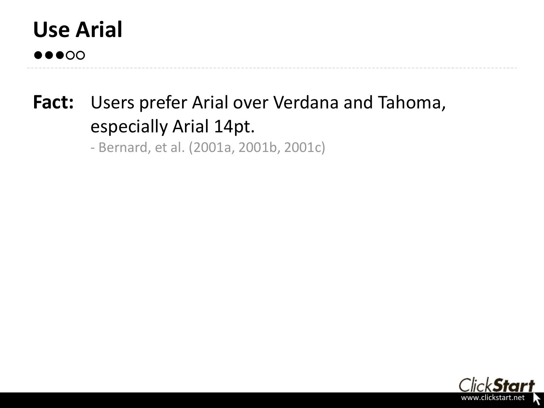

### **Fact:** Users prefer Arial over Verdana and Tahoma, especially Arial 14pt.

- Bernard, et al. (2001a, 2001b, 2001c)

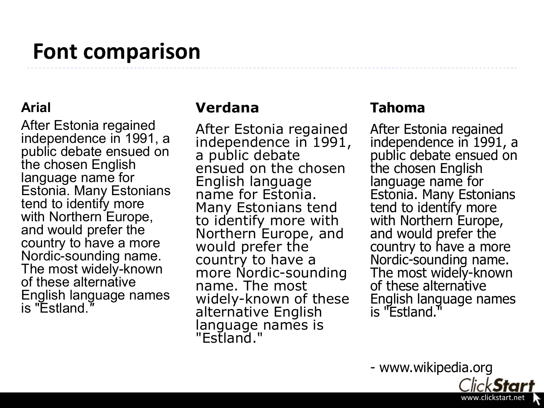### **Font comparison**

#### **Arial**

After Estonia regained independence in 1991, a public debate ensued on the chosen English language name for Estonia. Many Estonians tend to identify more with Northern Europe, and would prefer the country to have a more Nordic-sounding name. The most widely-known of these alternative English language names is "Estland.*"*

#### **Verdana**

After Estonia regained independence in 1991, a public debate ensued on the chosen English language name for Estonia. Many Estonians tend to identify more with Northern Europe, and would prefer the country to have a more Nordic-sounding name. The most widely-known of these alternative English language names is "Estland."

#### **Tahoma**

After Estonia regained independence in 1991, a public debate ensued on the chosen English language name for Estonia. Many Estonians tend to identify more with Northern Europe, and would prefer the country to have a more Nordic-sounding name. The most widely-known of these alternative English language names is "Estland.

- www.wikipedia.org

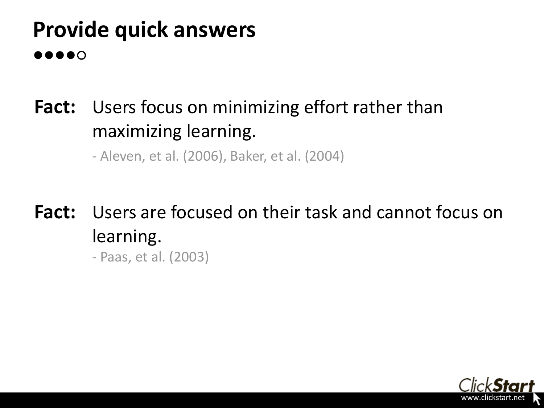### **Provide quick answers ●●●●○**

### Fact: Users focus on minimizing effort rather than maximizing learning.

- Aleven, et al. (2006), Baker, et al. (2004)

#### **Fact:** Users are focused on their task and cannot focus on learning. - Paas, et al. (2003)

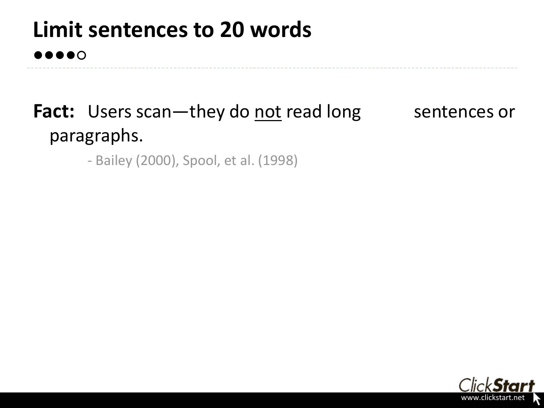### **Limit sentences to 20 words ●●●●○**

### **Fact:** Users scan—they do not read long sentences or paragraphs.

- Bailey (2000), Spool, et al. (1998)

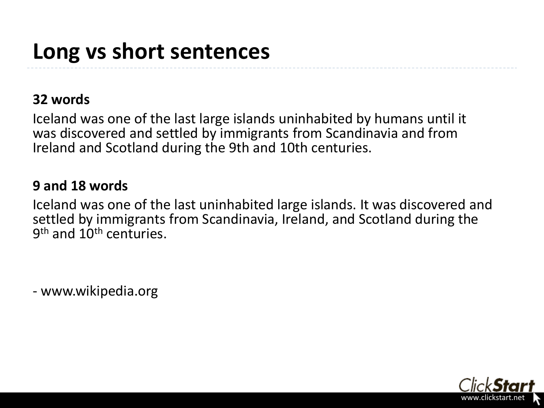#### **32 words**

Iceland was one of the last large islands uninhabited by humans until it was discovered and settled by immigrants from Scandinavia and from Ireland and Scotland during the 9th and 10th centuries.

#### **9 and 18 words**

Iceland was one of the last uninhabited large islands. It was discovered and settled by immigrants from Scandinavia, Ireland, and Scotland during the 9<sup>th</sup> and 10<sup>th</sup> centuries.

- www.wikipedia.org

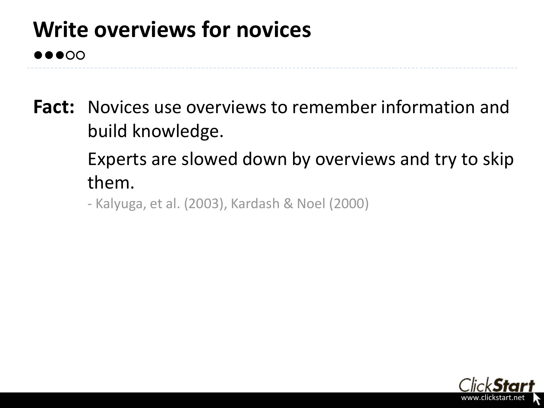## **Write overviews for novices**

**●●●○○**

- **Fact:** Novices use overviews to remember information and build knowledge.
	- Experts are slowed down by overviews and try to skip them.
	- Kalyuga, et al. (2003), Kardash & Noel (2000)

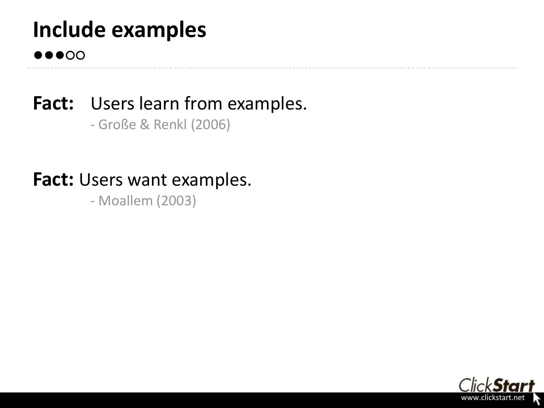## **Include examples**

**●●●○○**

Fact: Users learn from examples. - Große & Renkl (2006)

**Fact:** Users want examples.

- Moallem (2003)

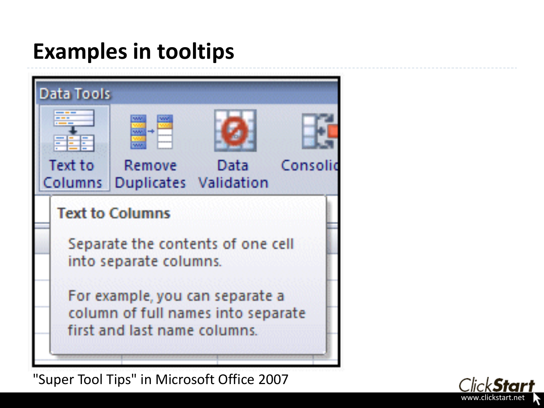## **Examples in tooltips**



"Super Tool Tips" in Microsoft Office 2007

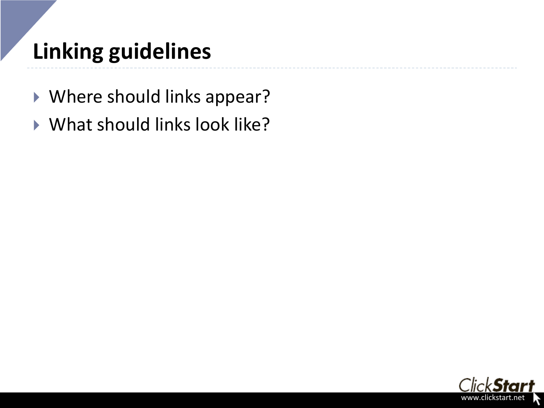# **Linking guidelines**

- Where should links appear?
- What should links look like?

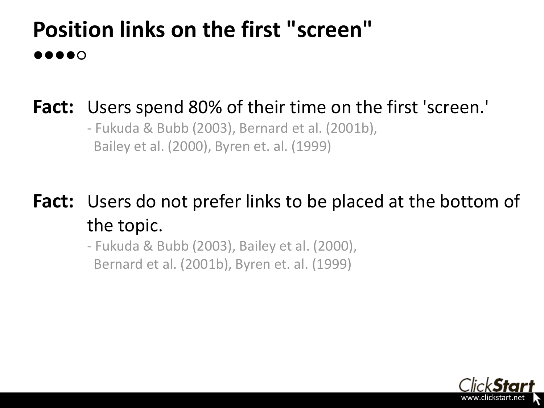### **Position links on the first "screen" ●●●●○**

#### **Fact:** Users spend 80% of their time on the first 'screen.'

- Fukuda & Bubb (2003), Bernard et al. (2001b), Bailey et al. (2000), Byren et. al. (1999)

**Fact:** Users do not prefer links to be placed at the bottom of the topic.

> - Fukuda & Bubb (2003), Bailey et al. (2000), Bernard et al. (2001b), Byren et. al. (1999)

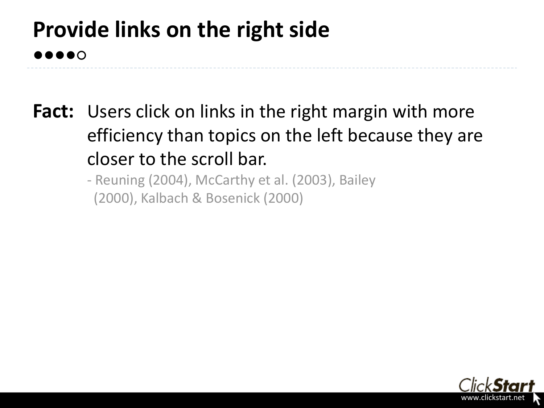### **Provide links on the right side ●●●●○**

- **Fact:** Users click on links in the right margin with more efficiency than topics on the left because they are closer to the scroll bar.
	- Reuning (2004), McCarthy et al. (2003), Bailey (2000), Kalbach & Bosenick (2000)

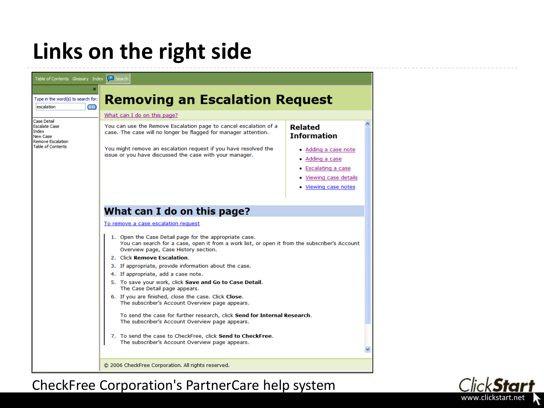### **Links on the right side**



CheckFree Corporation's PartnerCare help system

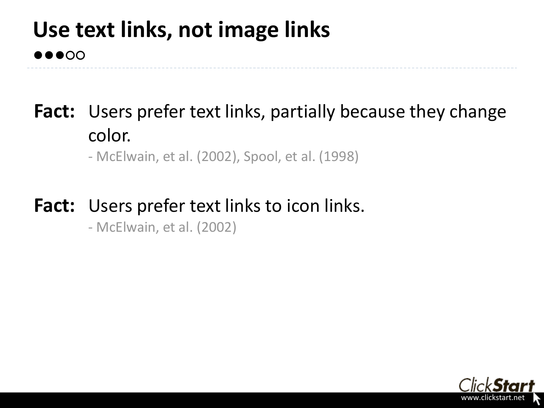#### **Use text links, not image links ●●●○○**

### Fact: Users prefer text links, partially because they change color.

- McElwain, et al. (2002), Spool, et al. (1998)

#### **Fact:** Users prefer text links to icon links.

- McElwain, et al. (2002)

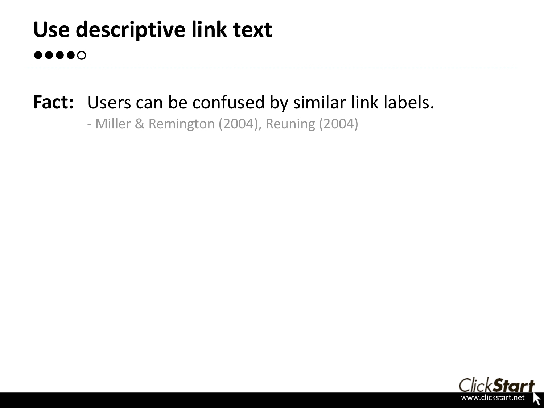### **Use descriptive link text ●●●●○**

### Fact: Users can be confused by similar link labels.

- Miller & Remington (2004), Reuning (2004)

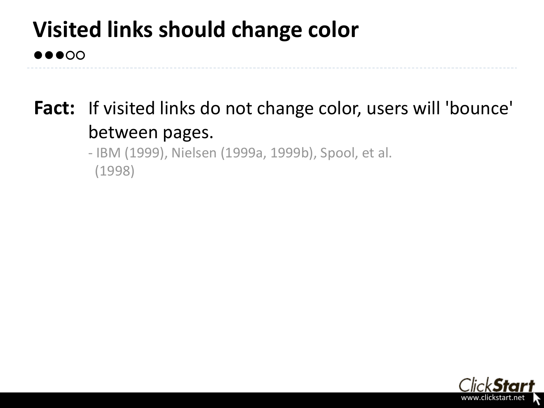# **Visited links should change color**

#### **●●●○○**

### Fact: If visited links do not change color, users will 'bounce' between pages.

- IBM (1999), Nielsen (1999a, 1999b), Spool, et al. (1998)

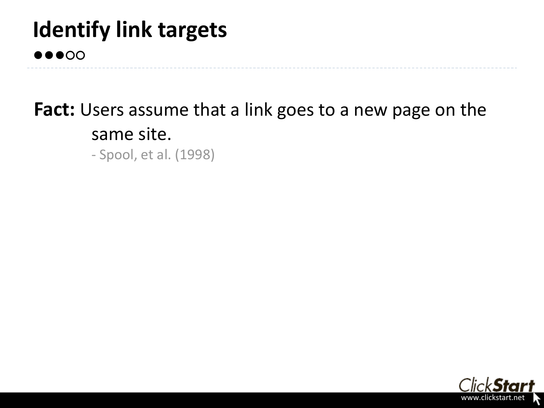### **Identify link targets ●●●○○**

### **Fact:** Users assume that a link goes to a new page on the same site.

- Spool, et al. (1998)

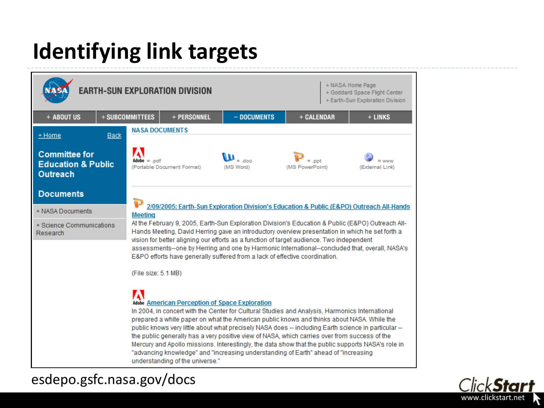# **Identifying link targets**





esdepo.gsfc.nasa.gov/docs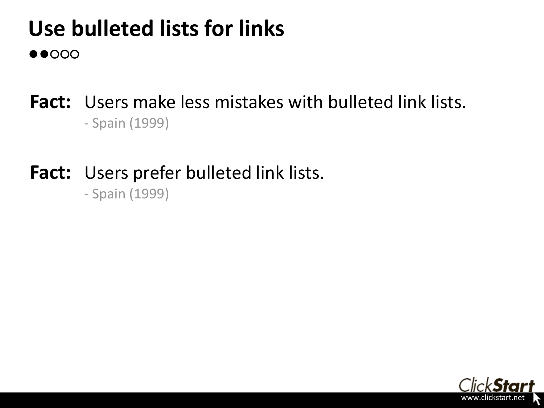#### **Use bulleted lists for links ●●○○○**

#### **Fact:** Users make less mistakes with bulleted link lists. - Spain (1999)

#### **Fact:** Users prefer bulleted link lists.

- Spain (1999)

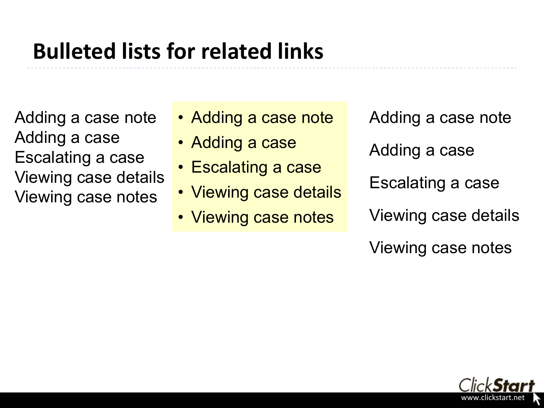## **Bulleted lists for related links**

Adding a case note Adding a case Escalating a case Viewing case details Viewing case notes

- Adding a case note
- Adding a case
- Escalating a case
- Viewing case details
- Viewing case notes

Adding a case note

Adding a case

Escalating a case

Viewing case details

Viewing case notes

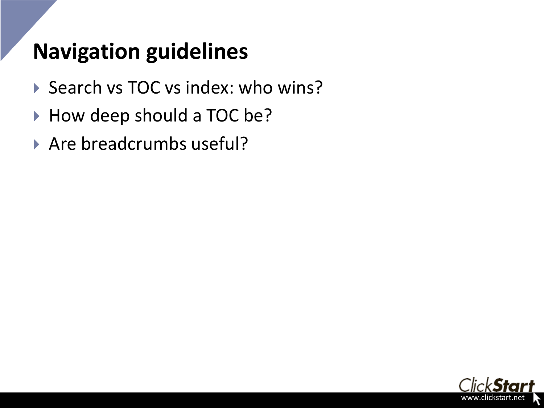## **Navigation guidelines**

- ▶ Search vs TOC vs index: who wins?
- ▶ How deep should a TOC be?
- Are breadcrumbs useful?

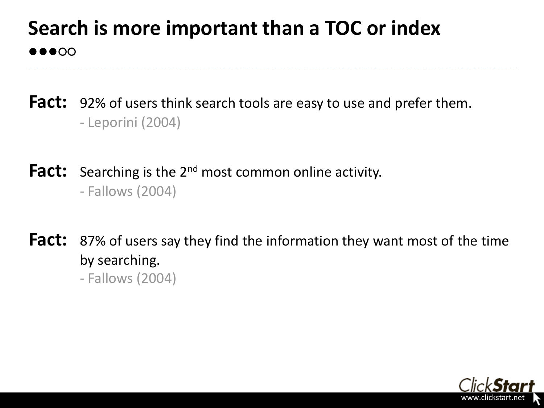### **Search is more important than a TOC or index ●●●○○**

**Fact:** 92% of users think search tools are easy to use and prefer them. - Leporini (2004)

**Fact:** Searching is the 2<sup>nd</sup> most common online activity. - Fallows (2004)

**Fact:** 87% of users say they find the information they want most of the time by searching. - Fallows (2004)

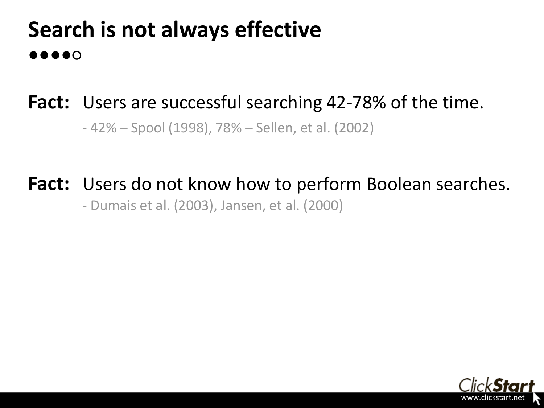### **Search is not always effective ●●●●○**

### Fact: Users are successful searching 42-78% of the time. - 42% – Spool (1998), 78% – Sellen, et al. (2002)

#### Fact: Users do not know how to perform Boolean searches.

- Dumais et al. (2003), Jansen, et al. (2000)

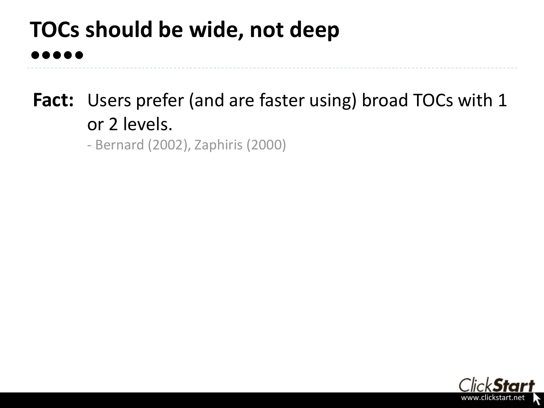### **TOCs should be wide, not deep ●●●●●**

**Fact:** Users prefer (and are faster using) broad TOCs with 1 or 2 levels.

- Bernard (2002), Zaphiris (2000)

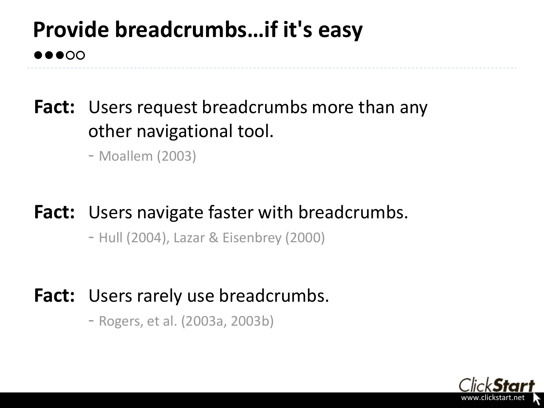# **Provide breadcrumbs…if it's easy**

**Fact:** Users request breadcrumbs more than any other navigational tool.

- Moallem (2003)

●●●○○

#### **Fact:** Users navigate faster with breadcrumbs.

- Hull (2004), Lazar & Eisenbrey (2000)

#### Fact: Users rarely use breadcrumbs.

- Rogers, et al. (2003a, 2003b)

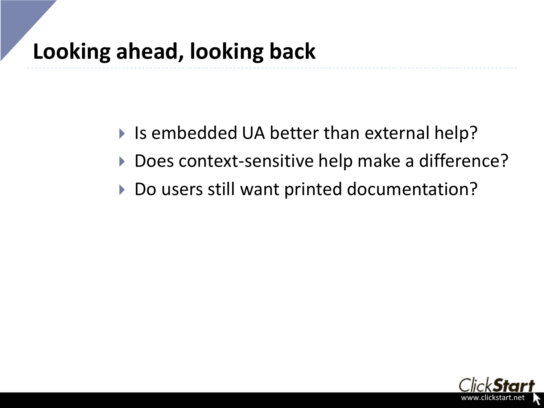- ▶ Is embedded UA better than external help?
- ▶ Does context-sensitive help make a difference?
- ▶ Do users still want printed documentation?

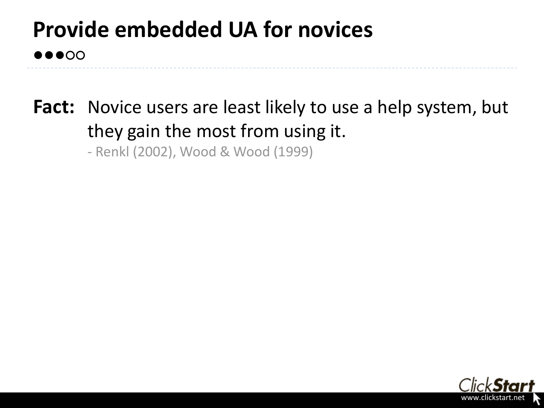# **Provide embedded UA for novices**

**●●●○○**

**Fact:** Novice users are least likely to use a help system, but they gain the most from using it.

- Renkl (2002), Wood & Wood (1999)

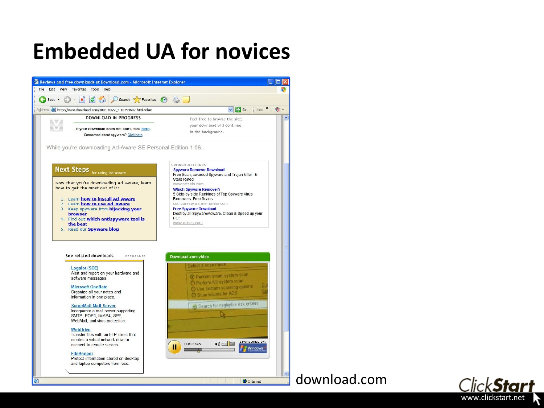### **Embedded UA for novices**



**Microsoft OneNote** Organize all your notes and information in one place.

**SurgeMail Mail Server** Incorporate a mail server supporting SMTP, POP3, IMAP4, SPF. WebMail, and virus protection.

**WebDrive** Transfer files with an FTP client that creates a virtual network drive to connect to remote servers.

**FileKeeper** 

Protect information stored on desktop and laptop computers from loss.



**O** Internet

#### download.com

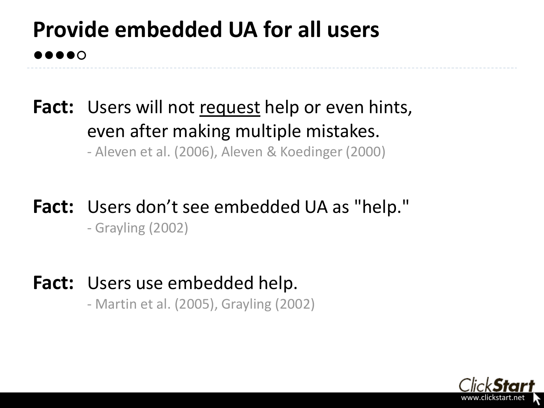### **Provide embedded UA for all users ●●●●○**

- **Fact:** Users will not request help or even hints, even after making multiple mistakes. - Aleven et al. (2006), Aleven & Koedinger (2000)
- **Fact:** Users don't see embedded UA as "help." - Grayling (2002)
- Fact: Users use embedded help. - Martin et al. (2005), Grayling (2002)

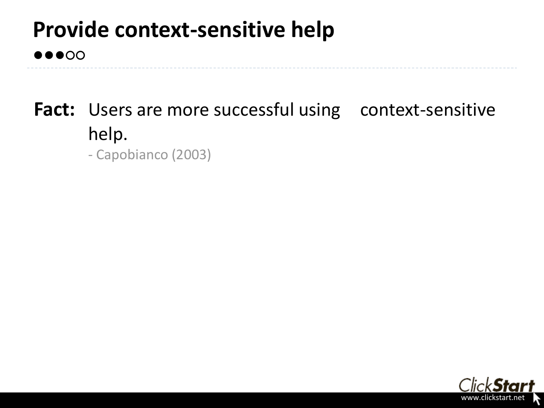## **Provide context-sensitive help**

#### **●●●○○**

## Fact: Users are more successful using context-sensitive help.

- Capobianco (2003)

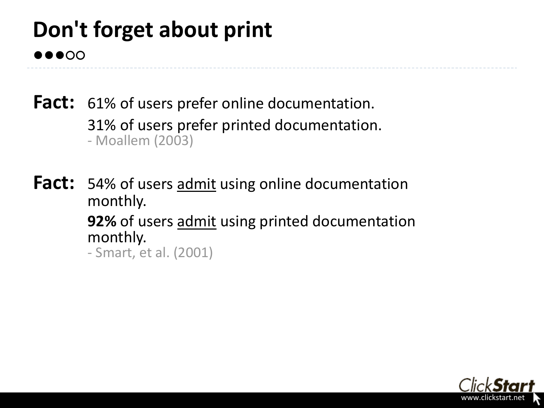### **Don't forget about print ●●●○○**

**Fact:** 61% of users prefer online documentation. 31% of users prefer printed documentation. - Moallem (2003)

**Fact:** 54% of users admit using online documentation monthly. **92%** of users admit using printed documentation monthly. - Smart, et al. (2001)